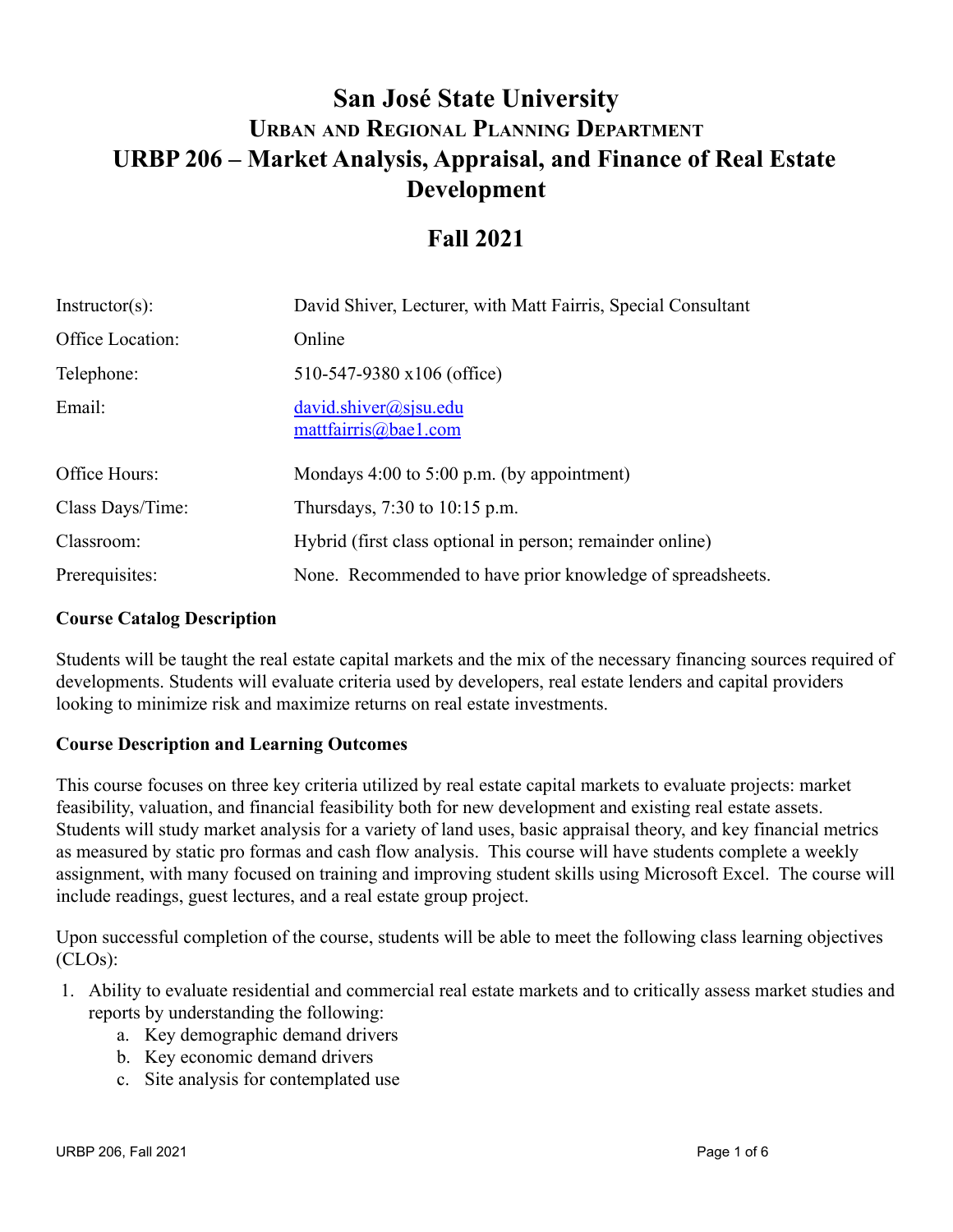# **San José State University URBP 206 – Market Analysis, Appraisal, and Finance of Real Estate URBAN AND REGIONAL PLANNING DEPARTMENT Development**

## **Fall 2021**

| $Instructor(s)$ : | David Shiver, Lecturer, with Matt Fairris, Special Consultant |  |
|-------------------|---------------------------------------------------------------|--|
| Office Location:  | Online                                                        |  |
| Telephone:        | 510-547-9380 x106 (office)                                    |  |
| Email:            | david.shiver@sisu.edu<br>mattfairris@bae1.com                 |  |
| Office Hours:     | Mondays $4:00$ to $5:00$ p.m. (by appointment)                |  |
| Class Days/Time:  | Thursdays, $7:30$ to $10:15$ p.m.                             |  |
| Classroom:        | Hybrid (first class optional in person; remainder online)     |  |
| Prerequisites:    | None. Recommended to have prior knowledge of spreadsheets.    |  |

#### **Course Catalog Description**

Students will be taught the real estate capital markets and the mix of the necessary financing sources required of developments. Students will evaluate criteria used by developers, real estate lenders and capital providers looking to minimize risk and maximize returns on real estate investments.

#### **Course Description and Learning Outcomes**

This course focuses on three key criteria utilized by real estate capital markets to evaluate projects: market feasibility, valuation, and financial feasibility both for new development and existing real estate assets. Students will study market analysis for a variety of land uses, basic appraisal theory, and key financial metrics as measured by static pro formas and cash flow analysis. This course will have students complete a weekly assignment, with many focused on training and improving student skills using Microsoft Excel. The course will include readings, guest lectures, and a real estate group project.

Upon successful completion of the course, students will be able to meet the following class learning objectives (CLOs):

- 1. Ability to evaluate residential and commercial real estate markets and to critically assess market studies and reports by understanding the following:
	- a. Key demographic demand drivers
	- b. Key economic demand drivers
	- c. Site analysis for contemplated use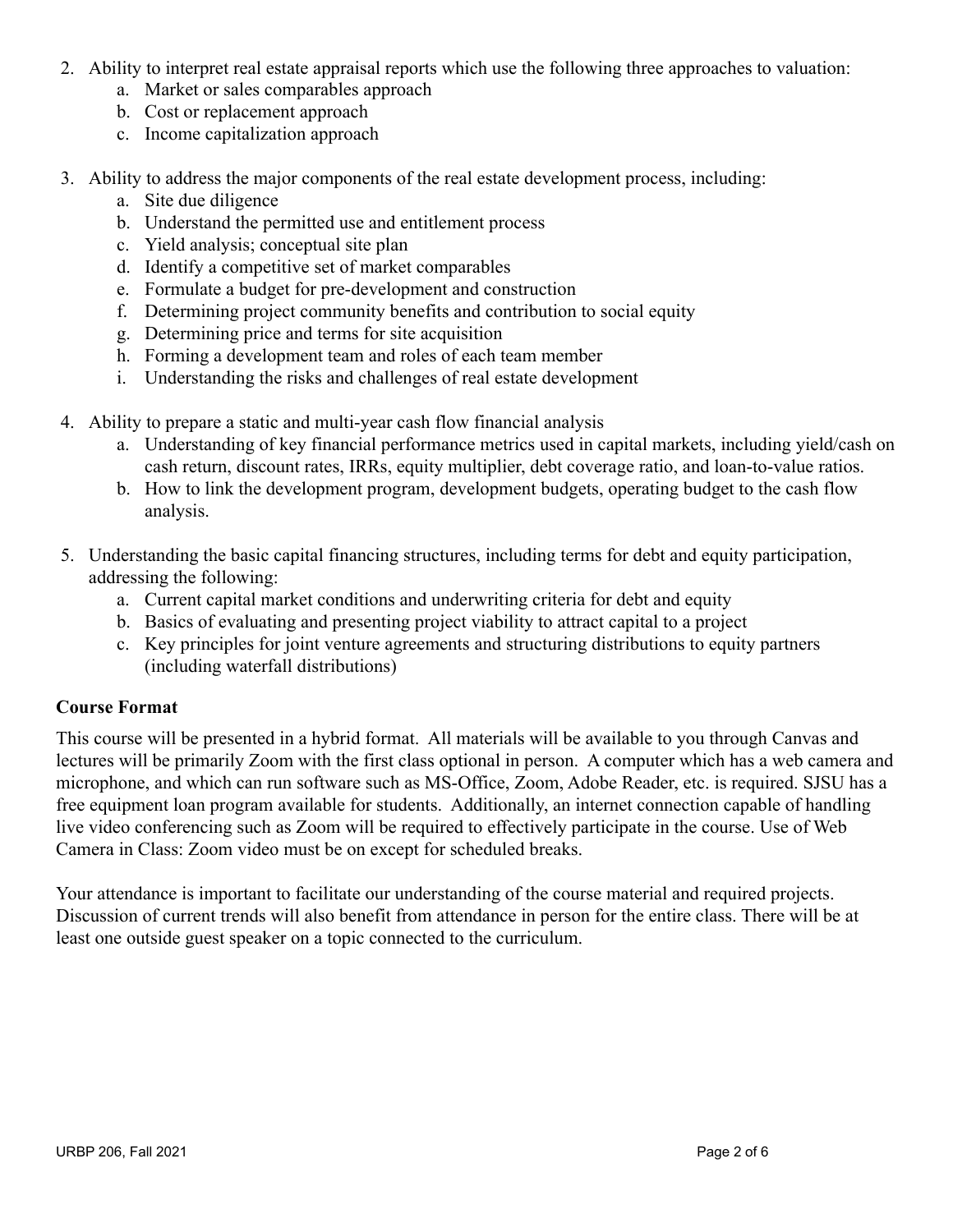- 2. Ability to interpret real estate appraisal reports which use the following three approaches to valuation:
	- a. Market or sales comparables approach
	- b. Cost or replacement approach
	- c. Income capitalization approach
- 3. Ability to address the major components of the real estate development process, including:
	- a. Site due diligence
	- b. Understand the permitted use and entitlement process
	- c. Yield analysis; conceptual site plan
	- d. Identify a competitive set of market comparables
	- e. Formulate a budget for pre-development and construction
	- f. Determining project community benefits and contribution to social equity
	- g. Determining price and terms for site acquisition
	- h. Forming a development team and roles of each team member
	- i. Understanding the risks and challenges of real estate development
- 4. Ability to prepare a static and multi-year cash flow financial analysis
	- a. Understanding of key financial performance metrics used in capital markets, including yield/cash on cash return, discount rates, IRRs, equity multiplier, debt coverage ratio, and loan-to-value ratios.
	- b. How to link the development program, development budgets, operating budget to the cash flow analysis.
- 5. Understanding the basic capital financing structures, including terms for debt and equity participation, addressing the following:
	- a. Current capital market conditions and underwriting criteria for debt and equity
	- b. Basics of evaluating and presenting project viability to attract capital to a project
	- c. Key principles for joint venture agreements and structuring distributions to equity partners (including waterfall distributions)

## **Course Format**

This course will be presented in a hybrid format. All materials will be available to you through Canvas and lectures will be primarily Zoom with the first class optional in person. A computer which has a web camera and microphone, and which can run software such as MS-Office, Zoom, Adobe Reader, etc. is required. SJSU has a free equipment loan program available for students. Additionally, an internet connection capable of handling live video conferencing such as Zoom will be required to effectively participate in the course. Use of Web Camera in Class: Zoom video must be on except for scheduled breaks.

Your attendance is important to facilitate our understanding of the course material and required projects. Discussion of current trends will also benefit from attendance in person for the entire class. There will be at least one outside guest speaker on a topic connected to the curriculum.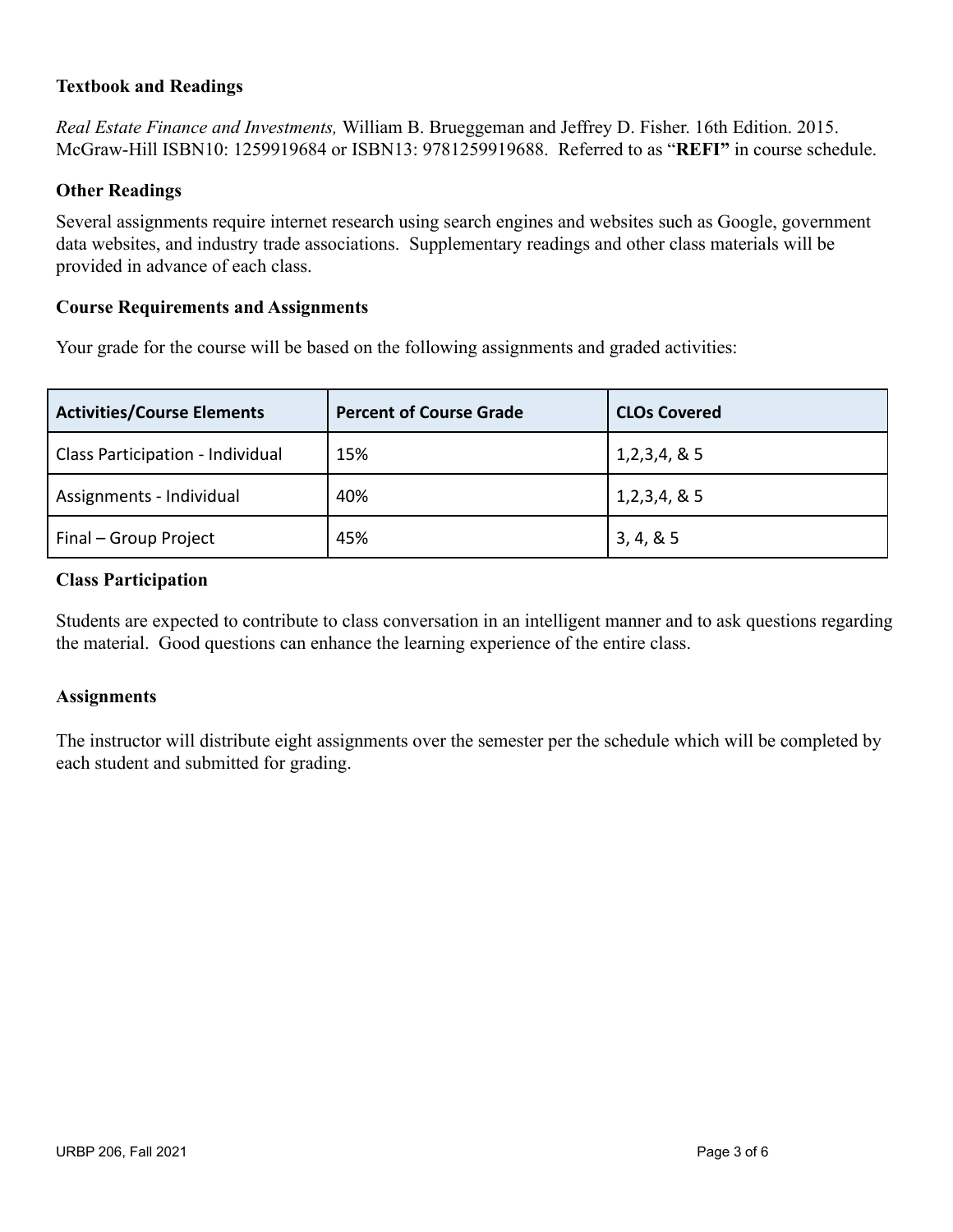## **Textbook and Readings**

*Real Estate Finance and Investments,* William B. Brueggeman and Jeffrey D. Fisher. 16th Edition. 2015. McGraw-Hill ISBN10: 1259919684 or ISBN13: 9781259919688. Referred to as "**REFI"** in course schedule.

#### **Other Readings**

Several assignments require internet research using search engines and websites such as Google, government data websites, and industry trade associations. Supplementary readings and other class materials will be provided in advance of each class.

#### **Course Requirements and Assignments**

Your grade for the course will be based on the following assignments and graded activities:

| <b>Activities/Course Elements</b> | <b>Percent of Course Grade</b> | <b>CLOs Covered</b> |
|-----------------------------------|--------------------------------|---------------------|
| Class Participation - Individual  | 15%                            | 1,2,3,4,8,5         |
| Assignments - Individual          | 40%                            | 1,2,3,4,8,5         |
| Final - Group Project             | 45%                            | 3, 4, 8, 5          |

#### **Class Participation**

Students are expected to contribute to class conversation in an intelligent manner and to ask questions regarding the material. Good questions can enhance the learning experience of the entire class.

#### **Assignments**

The instructor will distribute eight assignments over the semester per the schedule which will be completed by each student and submitted for grading.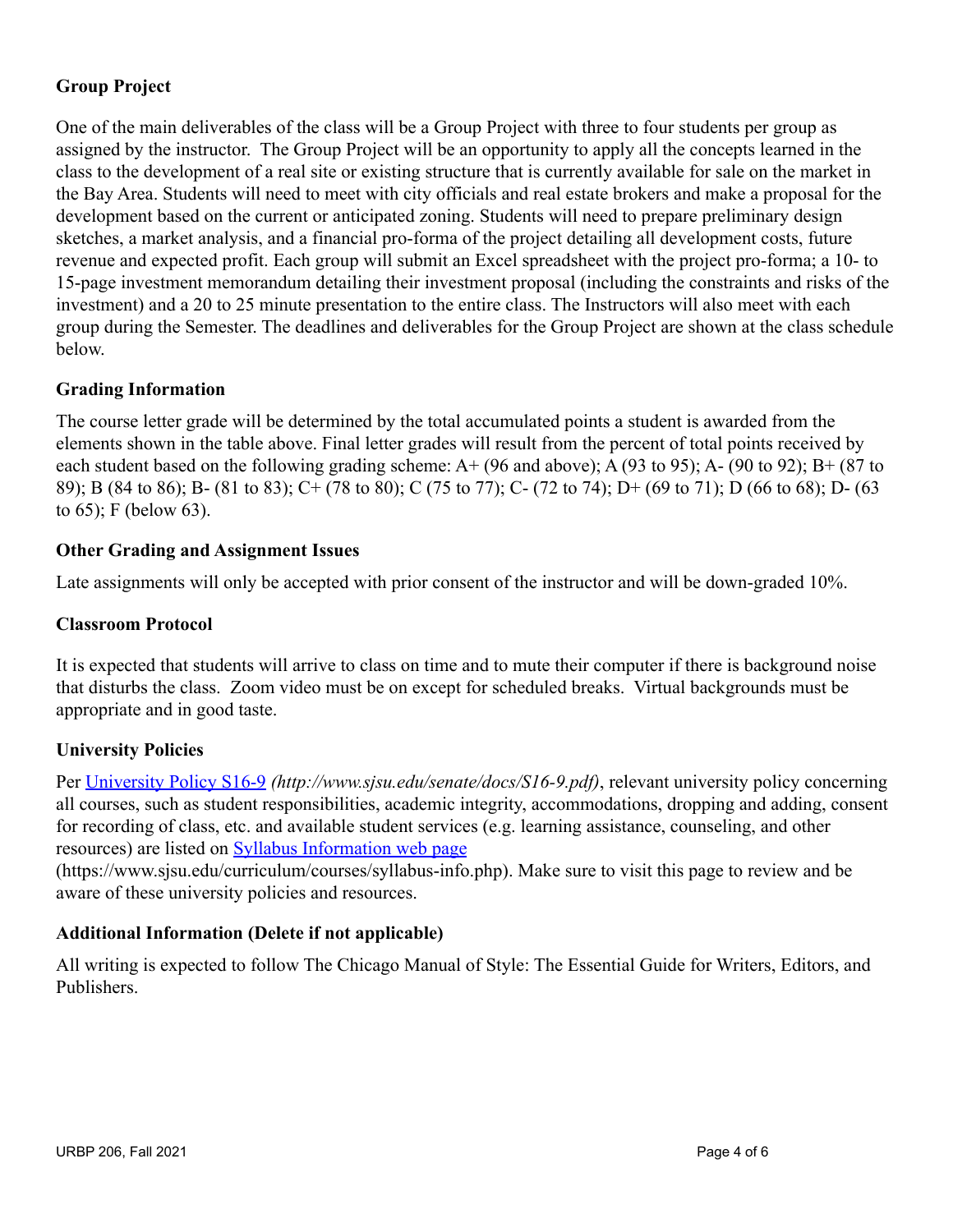## **Group Project**

One of the main deliverables of the class will be a Group Project with three to four students per group as assigned by the instructor. The Group Project will be an opportunity to apply all the concepts learned in the class to the development of a real site or existing structure that is currently available for sale on the market in the Bay Area. Students will need to meet with city officials and real estate brokers and make a proposal for the development based on the current or anticipated zoning. Students will need to prepare preliminary design sketches, a market analysis, and a financial pro-forma of the project detailing all development costs, future revenue and expected profit. Each group will submit an Excel spreadsheet with the project pro-forma; a 10- to 15-page investment memorandum detailing their investment proposal (including the constraints and risks of the investment) and a 20 to 25 minute presentation to the entire class. The Instructors will also meet with each group during the Semester. The deadlines and deliverables for the Group Project are shown at the class schedule below.

## **Grading Information**

The course letter grade will be determined by the total accumulated points a student is awarded from the elements shown in the table above. Final letter grades will result from the percent of total points received by each student based on the following grading scheme: A+ (96 and above); A (93 to 95); A- (90 to 92); B+ (87 to 89); B (84 to 86); B- (81 to 83); C+ (78 to 80); C (75 to 77); C- (72 to 74); D+ (69 to 71); D (66 to 68); D- (63 to 65); F (below 63).

### **Other Grading and Assignment Issues**

Late assignments will only be accepted with prior consent of the instructor and will be down-graded 10%.

## **Classroom Protocol**

It is expected that students will arrive to class on time and to mute their computer if there is background noise that disturbs the class. Zoom video must be on except for scheduled breaks. Virtual backgrounds must be appropriate and in good taste.

## **University Policies**

Per [University Policy S16-9](http://www.sjsu.edu/senate/docs/S16-9.pdf) *(<http://www.sjsu.edu/senate/docs/S16-9.pdf>)*, relevant university policy concerning all courses, such as student responsibilities, academic integrity, accommodations, dropping and adding, consent for recording of class, etc. and available student services (e.g. learning assistance, counseling, and other resources) are listed on [Syllabus Information web](https://www.sjsu.edu/curriculum/courses/syllabus-info.php) page

([https://www.sjsu.edu/curriculum/courses/syllabus-info.php\)](https://www.sjsu.edu/curriculum/courses/syllabus-info.php). Make sure to visit this page to review and be aware of these university policies and resources.

## **Additional Information (Delete if not applicable)**

All writing is expected to follow The Chicago Manual of Style: The Essential Guide for Writers, Editors, and Publishers.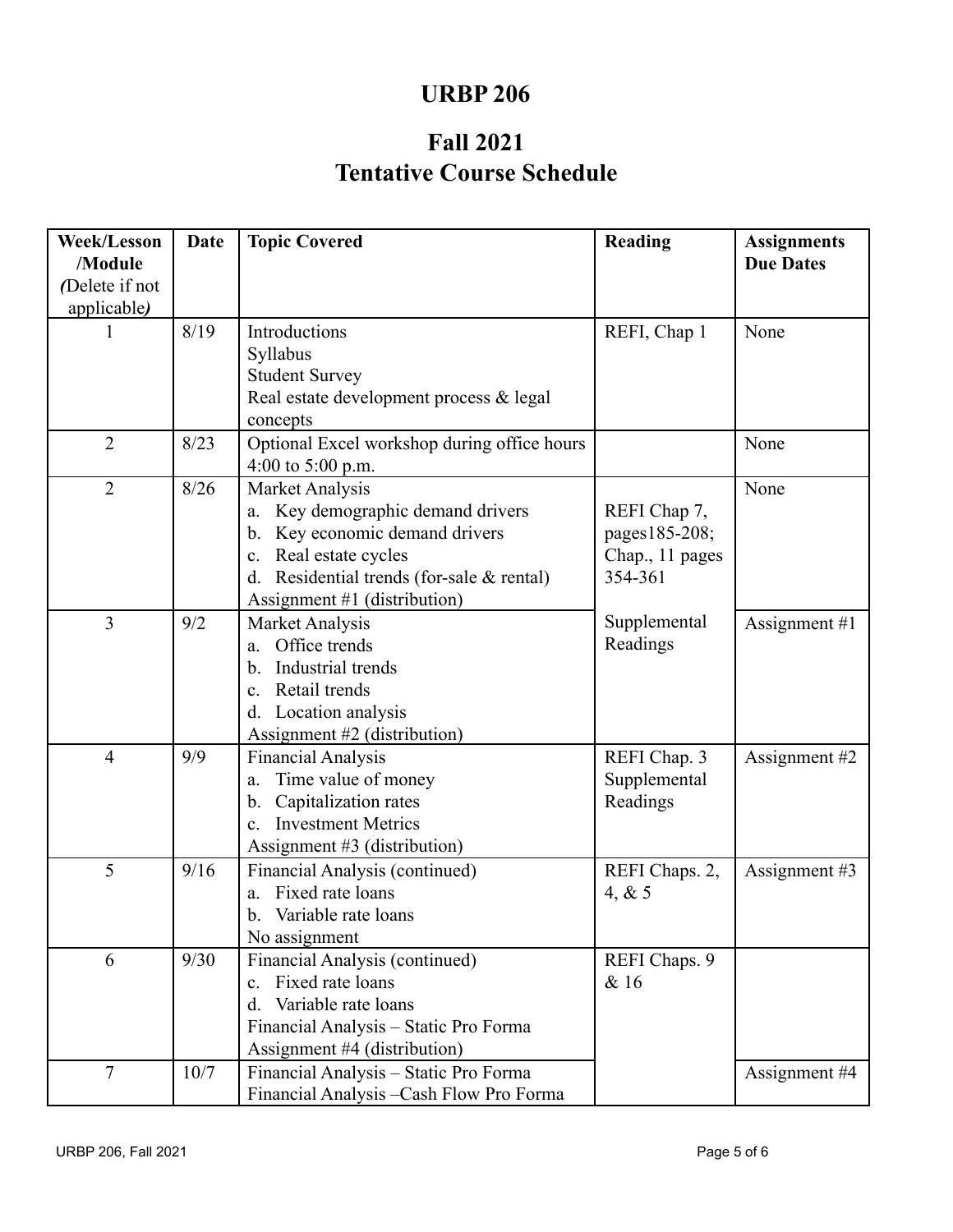## **URBP 206**

# **Tentative Course Schedule Fall 2021**

| <b>Week/Lesson</b><br>/Module | Date | <b>Topic Covered</b>                         | <b>Reading</b>  | <b>Assignments</b><br><b>Due Dates</b> |
|-------------------------------|------|----------------------------------------------|-----------------|----------------------------------------|
| (Delete if not<br>applicable) |      |                                              |                 |                                        |
|                               | 8/19 | Introductions                                | REFI, Chap 1    | None                                   |
|                               |      | Syllabus                                     |                 |                                        |
|                               |      | <b>Student Survey</b>                        |                 |                                        |
|                               |      | Real estate development process & legal      |                 |                                        |
|                               |      | concepts                                     |                 |                                        |
| $\overline{2}$                | 8/23 | Optional Excel workshop during office hours  |                 | None                                   |
|                               |      | 4:00 to $5:00$ p.m.                          |                 |                                        |
| $\overline{2}$                | 8/26 | Market Analysis                              |                 | None                                   |
|                               |      | Key demographic demand drivers<br>a.         | REFI Chap 7,    |                                        |
|                               |      | Key economic demand drivers<br>b.            | pages185-208;   |                                        |
|                               |      | Real estate cycles<br>$\mathbf{c}$ .         | Chap., 11 pages |                                        |
|                               |      | Residential trends (for-sale & rental)<br>d. | 354-361         |                                        |
|                               |      | Assignment #1 (distribution)                 |                 |                                        |
| $\overline{3}$                | 9/2  | Market Analysis                              | Supplemental    | Assignment $#1$                        |
|                               |      | Office trends<br>a.                          | Readings        |                                        |
|                               |      | Industrial trends<br>b.                      |                 |                                        |
|                               |      | Retail trends<br>$\mathbf{c}$ .              |                 |                                        |
|                               |      | Location analysis<br>d.                      |                 |                                        |
|                               |      | Assignment #2 (distribution)                 |                 |                                        |
| $\overline{4}$                | 9/9  | <b>Financial Analysis</b>                    | REFI Chap. 3    | Assignment #2                          |
|                               |      | Time value of money<br>a.                    | Supplemental    |                                        |
|                               |      | Capitalization rates<br>b.                   | Readings        |                                        |
|                               |      | <b>Investment Metrics</b><br>$\mathbf{c}$ .  |                 |                                        |
|                               |      | Assignment $#3$ (distribution)               |                 |                                        |
| 5                             | 9/16 | Financial Analysis (continued)               | REFI Chaps. 2,  | Assignment #3                          |
|                               |      | Fixed rate loans<br>a.                       | 4, $& 5$        |                                        |
|                               |      | Variable rate loans<br>b.                    |                 |                                        |
|                               |      | No assignment                                |                 |                                        |
| 6                             | 9/30 | Financial Analysis (continued)               | REFI Chaps. 9   |                                        |
|                               |      | Fixed rate loans<br>$\mathbf{c}$ .           | & 16            |                                        |
|                               |      | Variable rate loans<br>$d_{\cdot}$           |                 |                                        |
|                               |      | Financial Analysis - Static Pro Forma        |                 |                                        |
|                               |      | Assignment #4 (distribution)                 |                 |                                        |
| $\tau$                        | 10/7 | Financial Analysis - Static Pro Forma        |                 | Assignment #4                          |
|                               |      | Financial Analysis - Cash Flow Pro Forma     |                 |                                        |